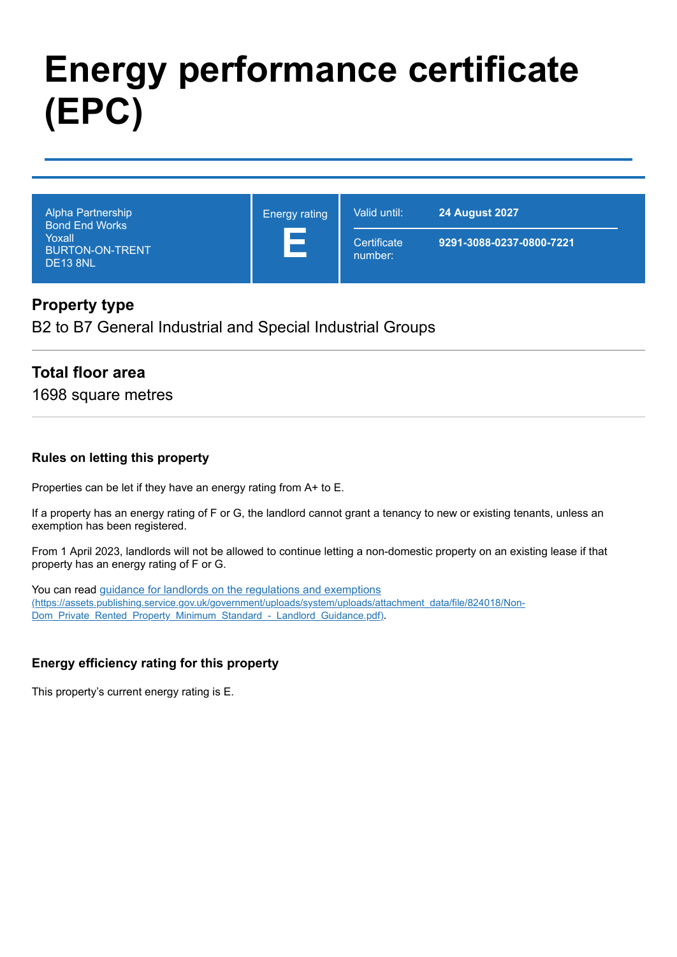# **Energy performance certificate (EPC)**

| Alpha Partnership<br><b>Bond End Works</b><br>Yoxall<br><b>BURTON-ON-TRENT</b><br>DE <sub>13</sub> 8NL | <b>Energy rating</b><br>$\overline{\phantom{a}}$ | Valid until:           | <b>24 August 2027</b>    |
|--------------------------------------------------------------------------------------------------------|--------------------------------------------------|------------------------|--------------------------|
|                                                                                                        |                                                  | Certificate<br>number: | 9291-3088-0237-0800-7221 |

#### **Property type**

B2 to B7 General Industrial and Special Industrial Groups

## **Total floor area**

1698 square metres

#### **Rules on letting this property**

Properties can be let if they have an energy rating from A+ to E.

If a property has an energy rating of F or G, the landlord cannot grant a tenancy to new or existing tenants, unless an exemption has been registered.

From 1 April 2023, landlords will not be allowed to continue letting a non-domestic property on an existing lease if that property has an energy rating of F or G.

You can read guidance for landlords on the regulations and exemptions [\(https://assets.publishing.service.gov.uk/government/uploads/system/uploads/attachment\\_data/file/824018/Non-](https://assets.publishing.service.gov.uk/government/uploads/system/uploads/attachment_data/file/824018/Non-Dom_Private_Rented_Property_Minimum_Standard_-_Landlord_Guidance.pdf)Dom\_Private\_Rented\_Property\_Minimum\_Standard - Landlord\_Guidance.pdf).

#### **Energy efficiency rating for this property**

This property's current energy rating is E.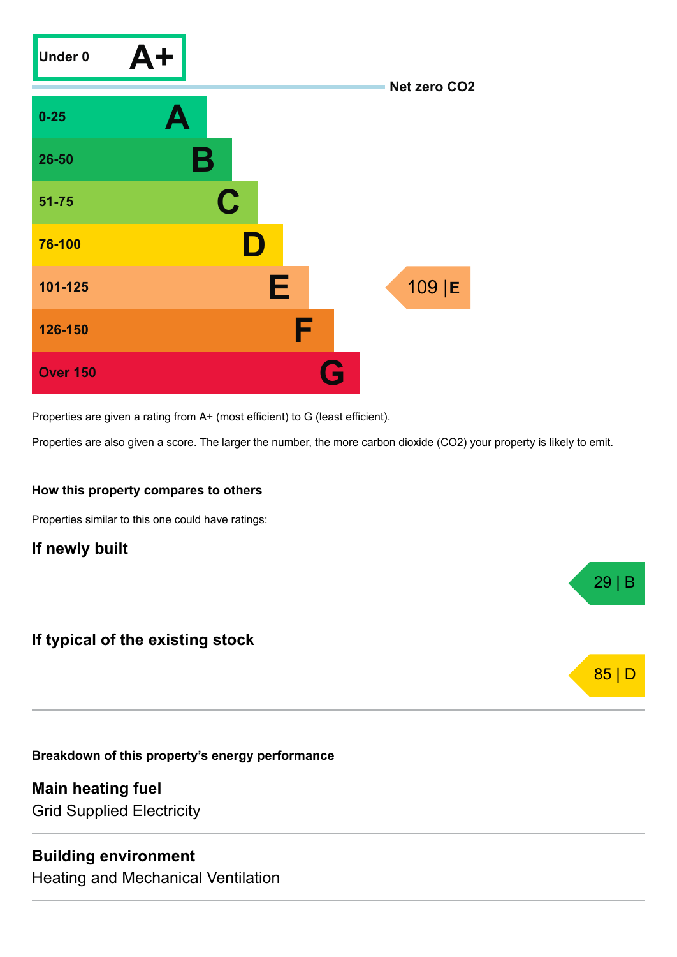

Properties are given a rating from A+ (most efficient) to G (least efficient).

Properties are also given a score. The larger the number, the more carbon dioxide (CO2) your property is likely to emit.

29 | B

85 | D

#### **How this property compares to others**

Properties similar to this one could have ratings:

## **If newly built**

## **If typical of the existing stock**

**Breakdown of this property's energy performance**

**Main heating fuel** Grid Supplied Electricity

#### **Building environment**

Heating and Mechanical Ventilation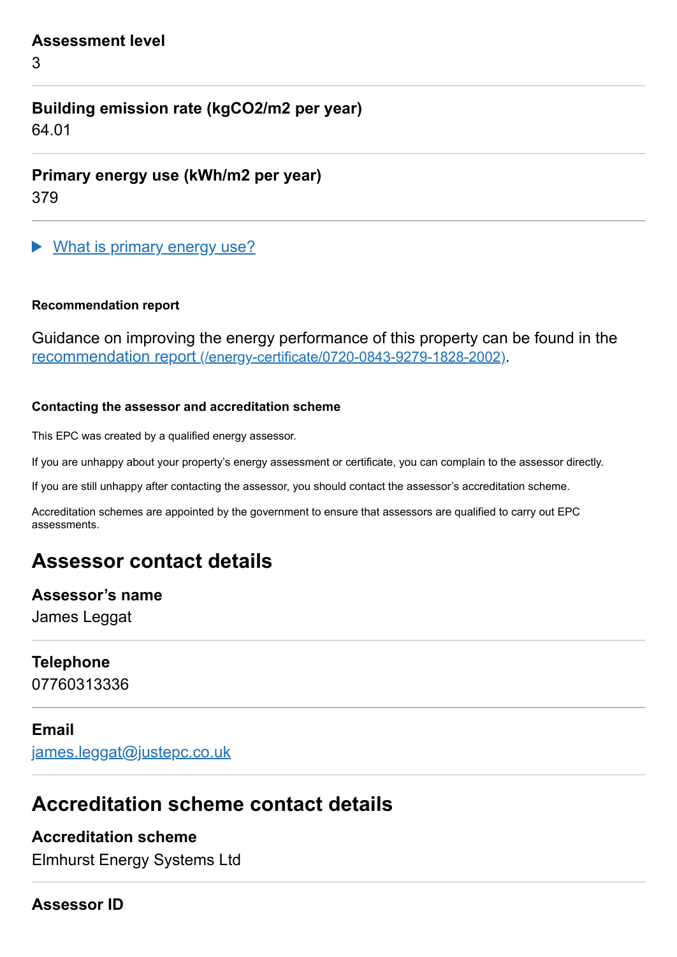#### **Assessment level**

3

# **Building emission rate (kgCO2/m2 per year)**

64.01

**Primary energy use (kWh/m2 per year)**

379

What is primary energy use?

#### **Recommendation report**

Guidance on improving the energy performance of this property can be found in the recommendation report [\(/energy-certificate/0720-0843-9279-1828-2002\)](https://find-energy-certificate.service.gov.uk/energy-certificate/0720-0843-9279-1828-2002).

#### **Contacting the assessor and accreditation scheme**

This EPC was created by a qualified energy assessor.

If you are unhappy about your property's energy assessment or certificate, you can complain to the assessor directly.

If you are still unhappy after contacting the assessor, you should contact the assessor's accreditation scheme.

Accreditation schemes are appointed by the government to ensure that assessors are qualified to carry out EPC assessments.

# **Assessor contact details**

#### **Assessor's name**

James Leggat

## **Telephone**

07760313336

#### **Email**

[james.leggat@justepc.co.uk](mailto:james.leggat@justepc.co.uk)

# **Accreditation scheme contact details**

# **Accreditation scheme**

Elmhurst Energy Systems Ltd

#### **Assessor ID**